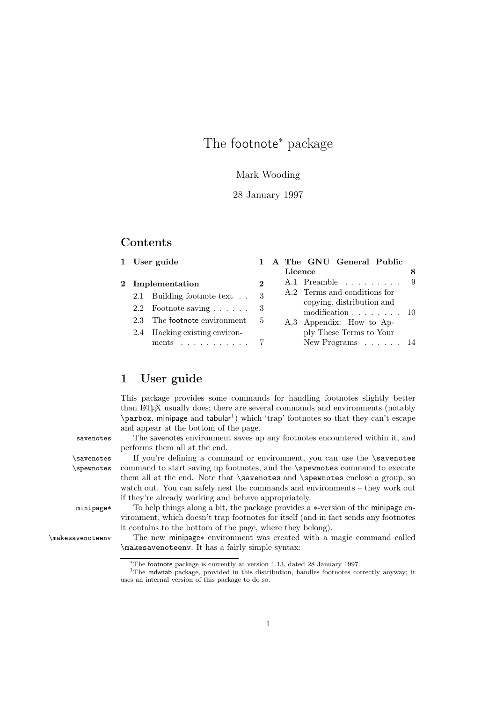## The footnote<sup>∗</sup> package

#### Mark Wooding

#### 28 January 1997

## **Contents**

|  | 1 User guide                                                           |          |         |                                                                                                                                                                                                 | 1 A The GNU General Public |  |
|--|------------------------------------------------------------------------|----------|---------|-------------------------------------------------------------------------------------------------------------------------------------------------------------------------------------------------|----------------------------|--|
|  |                                                                        |          | Licence |                                                                                                                                                                                                 |                            |  |
|  | 2 Implementation                                                       | $\bf{2}$ |         |                                                                                                                                                                                                 | A.1 Preamble               |  |
|  | 2.1 Building footnote text                                             | 3        |         | A.2 Terms and conditions for<br>copying, distribution and<br>modification $\ldots \ldots \ldots 10$<br>A.3 Appendix: How to Ap-<br>ply These Terms to Your<br>New Programs $\ldots$ $\ldots$ 14 |                            |  |
|  | 2.2 Footnote saving $\ldots$ $\ldots$ 3                                |          |         |                                                                                                                                                                                                 |                            |  |
|  | 2.3 The footnote environment                                           | 5        |         |                                                                                                                                                                                                 |                            |  |
|  | 2.4 Hacking existing environ-<br>ments $\ldots \ldots \ldots \ldots 7$ |          |         |                                                                                                                                                                                                 |                            |  |

## 1 User guide

This package provides some commands for handling footnotes slightly better than LATEX usually does; there are several commands and environments (notably  $\partial x$ , minipage and tabular<sup>1</sup>) which 'trap' footnotes so that they can't escape and appear at the bottom of the page.

savenotes The savenotes environment saves up any footnotes encountered within it, and performs them all at the end.

\savenotes If you're defining a command or environment, you can use the \savenotes \spewnotes command to start saving up footnotes, and the \spewnotes command to execute them all at the end. Note that **\savenotes** and **\spewnotes** enclose a group, so watch out. You can safely nest the commands and environments – they work out if they're already working and behave appropriately.

minipage\* To help things along a bit, the package provides a <sup>∗</sup>-version of the minipage environment, which doesn't trap footnotes for itself (and in fact sends any footnotes it contains to the bottom of the page, where they belong).

\makesavenoteenv The new minipage<sup>∗</sup> environment was created with a magic command called \makesavenoteenv. It has a fairly simple syntax:

<sup>∗</sup>The footnote package is currently at version 1.13, dated 28 January 1997.

<sup>&</sup>lt;sup>1</sup>The mdwtab package, provided in this distribution, handles footnotes correctly anyway; it uses an internal version of this package to do so.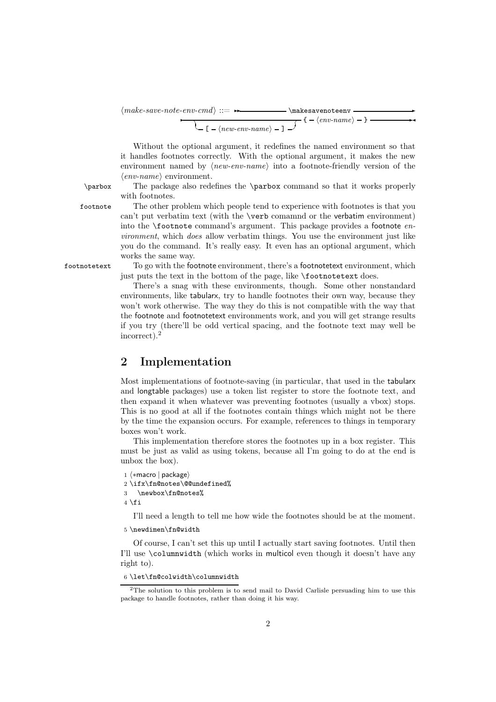*make-save-note-env-cmd* ::=✲✲ \makesavenoteenv ✲  $\overline{\phantom{a}}$  $\left\langle -\left[ -\langle new\text{-}env\text{-}name \rangle -\right] \right\rangle$  $\leftarrow \{ -\langle \textit{env-name} \rangle - \}$ 

Without the optional argument, it redefines the named environment so that it handles footnotes correctly. With the optional argument, it makes the new environment named by *(new-env-name)* into a footnote-friendly version of the  $\langle env\text{-}name \rangle$  environment.

\parbox The package also redefines the \parbox command so that it works properly with footnotes.

footnote The other problem which people tend to experience with footnotes is that you can't put verbatim text (with the \verb comamnd or the verbatim environment) into the \footnote command's argument. This package provides a footnote *environment*, which *does* allow verbatim things. You use the environment just like you do the command. It's really easy. It even has an optional argument, which works the same way.

footnotetext To go with the footnote environment, there's a footnotetext environment, which just puts the text in the bottom of the page, like  $\footnotesize\bigwedge$  footnotetext does.

> There's a snag with these environments, though. Some other nonstandard environments, like tabularx, try to handle footnotes their own way, because they won't work otherwise. The way they do this is not compatible with the way that the footnote and footnotetext environments work, and you will get strange results if you try (there'll be odd vertical spacing, and the footnote text may well be incorrect).<sup>2</sup>

## 2 Implementation

Most implementations of footnote-saving (in particular, that used in the tabularx and longtable packages) use a token list register to store the footnote text, and then expand it when whatever was preventing footnotes (usually a vbox) stops. This is no good at all if the footnotes contain things which might not be there by the time the expansion occurs. For example, references to things in temporary boxes won't work.

This implementation therefore stores the footnotes up in a box register. This must be just as valid as using tokens, because all I'm going to do at the end is unbox the box).

```
1 \langle \astmacro | package)
```

```
∗macro | package
2 \ifx\fn@notes\@@undefined%
```

```
3 \newbox\fn@notes%
```
 $4 \setminus fi$ 

I'll need a length to tell me how wide the footnotes should be at the moment.

5 \newdimen\fn@width

Of course, I can't set this up until I actually start saving footnotes. Until then I'll use \columnwidth (which works in multicol even though it doesn't have any right to).

<sup>6</sup> \let\fn@colwidth\columnwidth

<sup>&</sup>lt;sup>2</sup>The solution to this problem is to send mail to David Carlisle persuading him to use this package to handle footnotes, rather than doing it his way.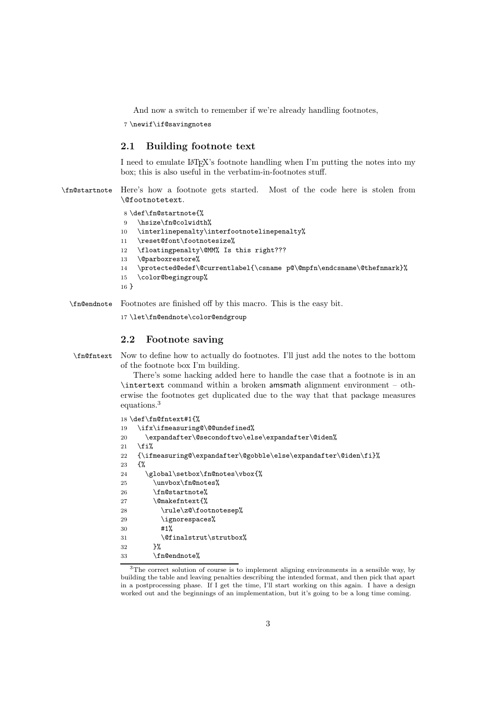And now a switch to remember if we're already handling footnotes,

7 \newif\if@savingnotes

#### 2.1 Building footnote text

I need to emulate LATEX's footnote handling when I'm putting the notes into my box; this is also useful in the verbatim-in-footnotes stuff.

\fn@startnote Here's how a footnote gets started. Most of the code here is stolen from \@footnotetext.

```
8 \def\fn@startnote{%
9 \hsize\fn@colwidth%
10 \interlinepenalty\interfootnotelinepenalty%
11 \reset@font\footnotesize%
12 \floatingpenalty\@MM% Is this right???
13 \@parboxrestore%
14 \protected@edef\@currentlabel{\csname p@\@mpfn\endcsname\@thefnmark}%
15 \color@begingroup%
16 }
```
\fn@endnote Footnotes are finished off by this macro. This is the easy bit.

17 \let\fn@endnote\color@endgroup

#### 2.2 Footnote saving

\fn@fntext Now to define how to actually do footnotes. I'll just add the notes to the bottom of the footnote box I'm building.

> There's some hacking added here to handle the case that a footnote is in an \intertext command within a broken amsmath alignment environment – otherwise the footnotes get duplicated due to the way that that package measures equations.<sup>3</sup>

```
18 \def\fn@fntext#1{%
19 \ifx\ifmeasuring@\@@undefined%
20 \expandafter\@secondoftwo\else\expandafter\@iden%
21 \overline{1}22 {\ifmeasuring@\expandafter\@gobble\else\expandafter\@iden\fi}%
23 \frac{1}{8}24 \global\setbox\fn@notes\vbox{%
25 \unvbox\fn@notes%
26 \fn@startnote%
27 \@makefntext{%
28 \rule\z@\footnotesep%
29 \ignorespaces%
30 #1%
31 \@finalstrut\strutbox%
32 }%
33 \fn@endnote%
```
 $3$ The correct solution of course is to implement aligning environments in a sensible way, by building the table and leaving penalties describing the intended format, and then pick that apart in a postprocessing phase. If I get the time, I'll start working on this again. I have a design worked out and the beginnings of an implementation, but it's going to be a long time coming.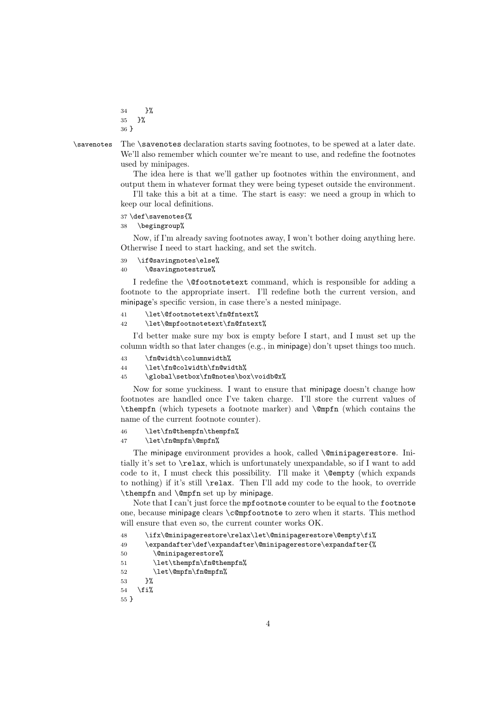34 }% 35 }% 36 }

\savenotes The \savenotes declaration starts saving footnotes, to be spewed at a later date. We'll also remember which counter we're meant to use, and redefine the footnotes used by minipages.

> The idea here is that we'll gather up footnotes within the environment, and output them in whatever format they were being typeset outside the environment.

> I'll take this a bit at a time. The start is easy: we need a group in which to keep our local definitions.

37 \def\savenotes{%

38 \begingroup%

Now, if I'm already saving footnotes away, I won't bother doing anything here. Otherwise I need to start hacking, and set the switch.

```
39 \if@savingnotes\else%
```
#### 40 \@savingnotestrue%

I redefine the \@footnotetext command, which is responsible for adding a footnote to the appropriate insert. I'll redefine both the current version, and minipage's specific version, in case there's a nested minipage.<br>
11 \let\@footnotetext\fn@fntext%

```
\let\@footnotetext\fn@fntext%
```

```
42 \let\@mpfootnotetext\fn@fntext%
```
I'd better make sure my box is empty before I start, and I must set up the column width so that later changes (e.g., in minipage) don't upset things too much.<br>43 \fn@width\columnwidth%

- \fn@width\columnwidth%
- 44 \let\fn@colwidth\fn@width%
- 45 \global\setbox\fn@notes\box\voidb@x%

Now for some yuckiness. I want to ensure that minipage doesn't change how footnotes are handled once I've taken charge. I'll store the current values of \thempfn (which typesets a footnote marker) and \@mpfn (which contains the name of the current footnote counter).

#### 46 \let\fn@thempfn\thempfn%

#### 47 \let\fn@mpfn\@mpfn%

The minipage environment provides a hook, called *\@minipagerestore*. Initially it's set to \relax, which is unfortunately unexpandable, so if I want to add code to it, I must check this possibility. I'll make it \@empty (which expands to nothing) if it's still \relax. Then I'll add my code to the hook, to override \thempfn and \@mpfn set up by minipage.

Note that I can't just force the mpfootnote counter to be equal to the footnote one, because minipage clears \c@mpfootnote to zero when it starts. This method will ensure that even so, the current counter works OK.

```
48 \ifx\@minipagerestore\relax\let\@minipagerestore\@empty\fi%
49 \expandafter\def\expandafter\@minipagerestore\expandafter{%
50 \@minipagerestore%
51 \let\thempfn\fn@thempfn%
52 \let\@mpfn\fn@mpfn%
53 }%
54 \overline{54}
```

```
55 }
```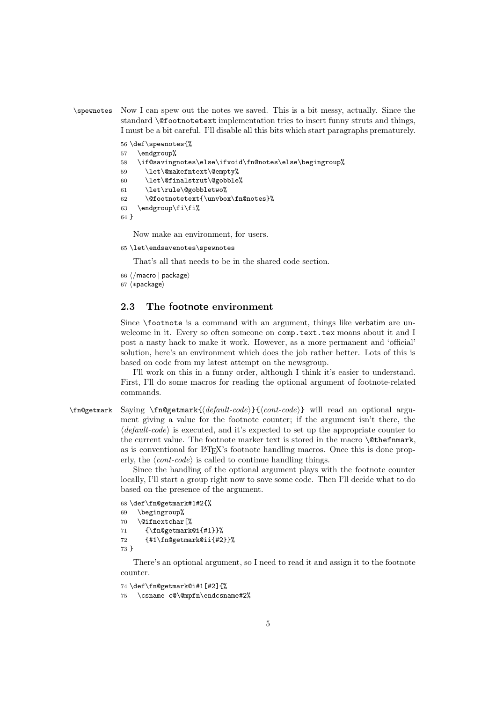\spewnotes Now I can spew out the notes we saved. This is a bit messy, actually. Since the standard \@footnotetext implementation tries to insert funny struts and things, I must be a bit careful. I'll disable all this bits which start paragraphs prematurely.

```
56 \def\spewnotes{%
57 \endgroup%
58 \if@savingnotes\else\ifvoid\fn@notes\else\begingroup%
59 \let\@makefntext\@empty%
60 \let\@finalstrut\@gobble%
61 \let\rule\@gobbletwo%
62 \@footnotetext{\unvbox\fn@notes}%
63 \endgroup\fi\fi%
64 }
```
Now make an environment, for users.

65 \let\endsavenotes\spewnotes

That's all that needs to be in the shared code section.

- 66 -*/*macro <sup>|</sup> package
- $67 \langle * \textsf{package} \rangle$

#### 2.3 The footnote environment

Since \footnote is a command with an argument, things like verbatim are unwelcome in it. Every so often someone on comp.text.tex moans about it and I post a nasty hack to make it work. However, as a more permanent and 'official' solution, here's an environment which does the job rather better. Lots of this is based on code from my latest attempt on the newsgroup.

I'll work on this in a funny order, although I think it's easier to understand. First, I'll do some macros for reading the optional argument of footnote-related commands.

\fn@getmark Saying \fn@getmark{*default-code*}{*cont-code*} will read an optional argument giving a value for the footnote counter; if the argument isn't there, the  $\langle default-code \rangle$  is executed, and it's expected to set up the appropriate counter to the current value. The footnote marker text is stored in the macro **\@thefnmark**, as is conventional for LAT<sub>EX</sub>'s footnote handling macros. Once this is done properly, the  $\langle cont-code \rangle$  is called to continue handling things.

> Since the handling of the optional argument plays with the footnote counter locally, I'll start a group right now to save some code. Then I'll decide what to do based on the presence of the argument.

```
68 \def\fn@getmark#1#2{%
69 \begingroup%
70 \@ifnextchar[%
71 {\fn@getmark@i{#1}}%
72 {#1\fn@getmark@ii{#2}}%
73 }
```
There's an optional argument, so I need to read it and assign it to the footnote counter.

```
74 \def\fn@getmark@i#1[#2]{%
75 \csname c@\@mpfn\endcsname#2%
```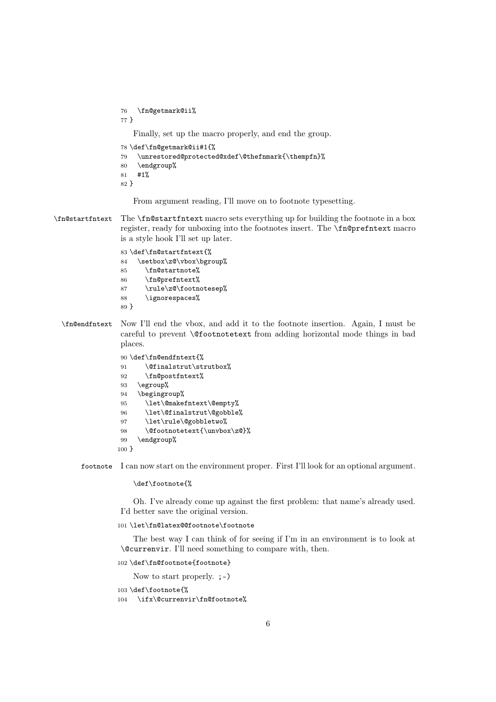\fn@getmark@ii% } Finally, set up the macro properly, and end the group. \def\fn@getmark@ii#1{% \unrestored@protected@xdef\@thefnmark{\thempfn}%

 \endgroup% #1% }

From argument reading, I'll move on to footnote typesetting.

\fn@startfntext The \fn@startfntext macro sets everything up for building the footnote in a box register, ready for unboxing into the footnotes insert. The \fn@prefntext macro is a style hook I'll set up later.

> \def\fn@startfntext{% 84 \setbox\z@\vbox\bgroup% \fn@startnote% \fn@prefntext% \rule\z@\footnotesep% \ignorespaces% }

\fn@endfntext Now I'll end the vbox, and add it to the footnote insertion. Again, I must be careful to prevent \@footnotetext from adding horizontal mode things in bad places.

```
90 \def\fn@endfntext{%
91 \@finalstrut\strutbox%
92 \fn@postfntext%
93 \egroup%
94 \begingroup%
95 \let\@makefntext\@empty%
96 \let\@finalstrut\@gobble%
97 \let\rule\@gobbletwo%
98 \@footnotetext{\unvbox\z@}%
99 \endgroup%
100 }
```
footnote I can now start on the environment proper. First I'll look for an optional argument.

\def\footnote{%

Oh. I've already come up against the first problem: that name's already used. I'd better save the original version.

\let\fn@latex@@footnote\footnote

The best way I can think of for seeing if I'm in an environment is to look at \@currenvir. I'll need something to compare with, then.

```
102 \def\fn@footnote{footnote}
```
Now to start properly.  $;$ -)

```
103 \def\footnote{%
```
\ifx\@currenvir\fn@footnote%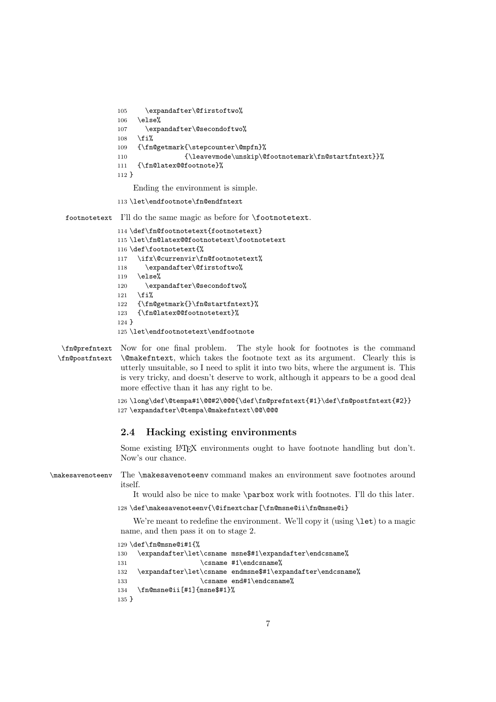```
105 \expandafter\@firstoftwo%
106 \else%
107 \expandafter\@secondoftwo%
108 \fi%
109 {\fn@getmark{\stepcounter\@mpfn}%
110 {\leavevmode\unskip\@footnotemark\fn@startfntext}}%
111 {\fn@latex@@footnote}%
112 }
   Ending the environment is simple.
```
113 \let\endfootnote\fn@endfntext

footnotetext I'll do the same magic as before for \footnotetext.

```
114 \def\fn@footnotetext{footnotetext}
115 \let\fn@latex@@footnotetext\footnotetext
116 \def\footnotetext{%
117 \ifx\@currenvir\fn@footnotetext%
118 \expandafter\@firstoftwo%
119 \else%
120 \expandafter\@secondoftwo%
121 \overline{ii}122 {\fn@getmark{}\fn@startfntext}%
123 {\fn@latex@@footnotetext}%
124 }
125 \let\endfootnotetext\endfootnote
```
\fn@prefntext Now for one final problem. \fn@postfntext The style hook for footnotes is the command \@makefntext, which takes the footnote text as its argument. Clearly this is utterly unsuitable, so I need to split it into two bits, where the argument is. This is very tricky, and doesn't deserve to work, although it appears to be a good deal more effective than it has any right to be.

> 126 \long\def\@tempa#1\@@#2\@@@{\def\fn@prefntext{#1}\def\fn@postfntext{#2}} 127 \expandafter\@tempa\@makefntext\@@\@@@

#### 2.4 Hacking existing environments

Some existing LAT<sub>EX</sub> environments ought to have footnote handling but don't. Now's our chance.

\makesavenoteenv The \makesavenoteenv command makes an environment save footnotes around itself.

It would also be nice to make \parbox work with footnotes. I'll do this later.

128 \def\makesavenoteenv{\@ifnextchar[\fn@msne@ii\fn@msne@i}

We're meant to redefine the environment. We'll copy it (using \let) to a magic name, and then pass it on to stage 2.

```
129 \def\fn@msne@i#1{%
130 \expandafter\let\csname msne$#1\expandafter\endcsname%
131 \csname #1\endcsname%
132 \expandafter\let\csname endmsne$#1\expandafter\endcsname%
133 \csname end#1\endcsname%
134 \fn@msne@ii[#1]{msne$#1}%
135 }
```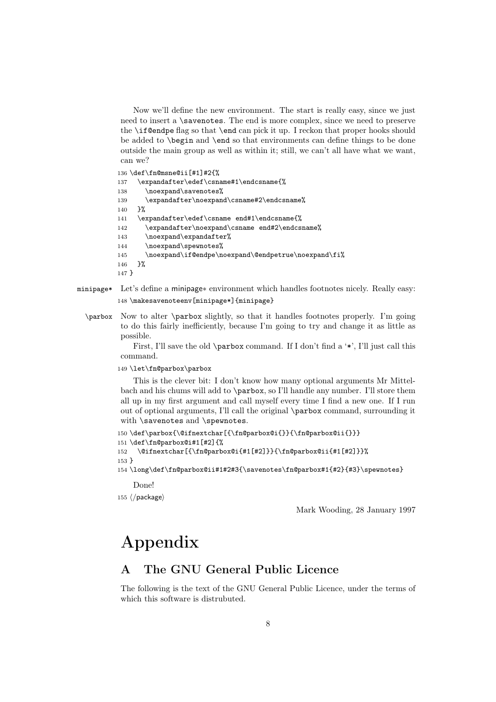Now we'll define the new environment. The start is really easy, since we just need to insert a \savenotes. The end is more complex, since we need to preserve the \if@endpe flag so that \end can pick it up. I reckon that proper hooks should be added to \begin and \end so that environments can define things to be done outside the main group as well as within it; still, we can't all have what we want, can we?

136 \def\fn@msne@ii[#1]#2{%

```
137 \expandafter\edef\csname#1\endcsname{%
138 \noexpand\savenotes%
139 \expandafter\noexpand\csname#2\endcsname%
140 }%
141 \expandafter\edef\csname end#1\endcsname{%
142 \expandafter\noexpand\csname end#2\endcsname%
143 \noexpand\expandafter%
144 \noexpand\spewnotes%
145 \noexpand\if@endpe\noexpand\@endpetrue\noexpand\fi%
146 }%
147 }
```
- minipage\* Let's define a minipage<sup>∗</sup> environment which handles footnotes nicely. Really easy: 148 \makesavenoteenv[minipage\*]{minipage}
	- \parbox Now to alter \parbox slightly, so that it handles footnotes properly. I'm going to do this fairly inefficiently, because I'm going to try and change it as little as possible.

First, I'll save the old  $\parrow$  command. If I don't find a '\*', I'll just call this command.

149 \let\fn@parbox\parbox

This is the clever bit: I don't know how many optional arguments Mr Mittelbach and his chums will add to \parbox, so I'll handle any number. I'll store them all up in my first argument and call myself every time I find a new one. If I run out of optional arguments, I'll call the original \parbox command, surrounding it with \savenotes and \spewnotes.

```
150 \def\parbox{\@ifnextchar[{\fn@parbox@i{}}{\fn@parbox@ii{}}}
151 \def\fn@parbox@i#1[#2]{%
152 \@ifnextchar[{\fn@parbox@i{#1[#2]}}{\fn@parbox@ii{#1[#2]}}%
153 }
```
154 \long\def\fn@parbox@ii#1#2#3{\savenotes\fn@parbox#1{#2}{#3}\spewnotes}

Done!

155  $\langle$ /package $\rangle$ 

Mark Wooding, 28 January 1997

# Appendix

## A The GNU General Public Licence

The following is the text of the GNU General Public Licence, under the terms of which this software is distrubuted.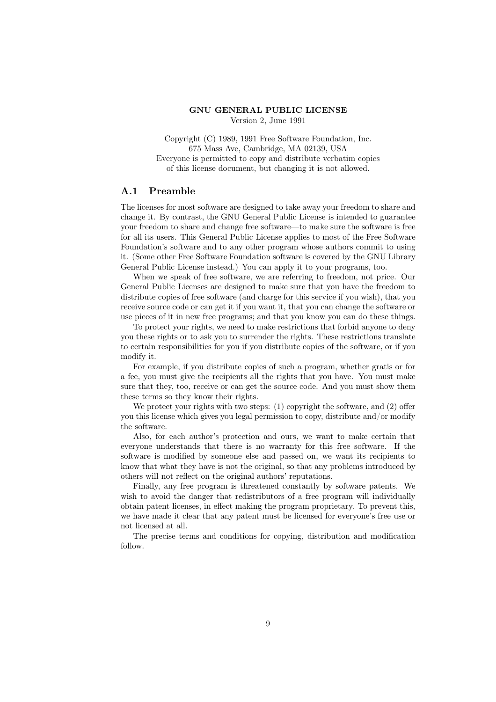#### GNU GENERAL PUBLIC LICENSE Version 2, June 1991

Copyright (C) 1989, 1991 Free Software Foundation, Inc. 675 Mass Ave, Cambridge, MA 02139, USA Everyone is permitted to copy and distribute verbatim copies of this license document, but changing it is not allowed.

#### A.1 Preamble

The licenses for most software are designed to take away your freedom to share and change it. By contrast, the GNU General Public License is intended to guarantee your freedom to share and change free software—to make sure the software is free for all its users. This General Public License applies to most of the Free Software Foundation's software and to any other program whose authors commit to using it. (Some other Free Software Foundation software is covered by the GNU Library General Public License instead.) You can apply it to your programs, too.

When we speak of free software, we are referring to freedom, not price. Our General Public Licenses are designed to make sure that you have the freedom to distribute copies of free software (and charge for this service if you wish), that you receive source code or can get it if you want it, that you can change the software or use pieces of it in new free programs; and that you know you can do these things.

To protect your rights, we need to make restrictions that forbid anyone to deny you these rights or to ask you to surrender the rights. These restrictions translate to certain responsibilities for you if you distribute copies of the software, or if you modify it.

For example, if you distribute copies of such a program, whether gratis or for a fee, you must give the recipients all the rights that you have. You must make sure that they, too, receive or can get the source code. And you must show them these terms so they know their rights.

We protect your rights with two steps: (1) copyright the software, and (2) offer you this license which gives you legal permission to copy, distribute and/or modify the software.

Also, for each author's protection and ours, we want to make certain that everyone understands that there is no warranty for this free software. If the software is modified by someone else and passed on, we want its recipients to know that what they have is not the original, so that any problems introduced by others will not reflect on the original authors' reputations.

Finally, any free program is threatened constantly by software patents. We wish to avoid the danger that redistributors of a free program will individually obtain patent licenses, in effect making the program proprietary. To prevent this, we have made it clear that any patent must be licensed for everyone's free use or not licensed at all.

The precise terms and conditions for copying, distribution and modification follow.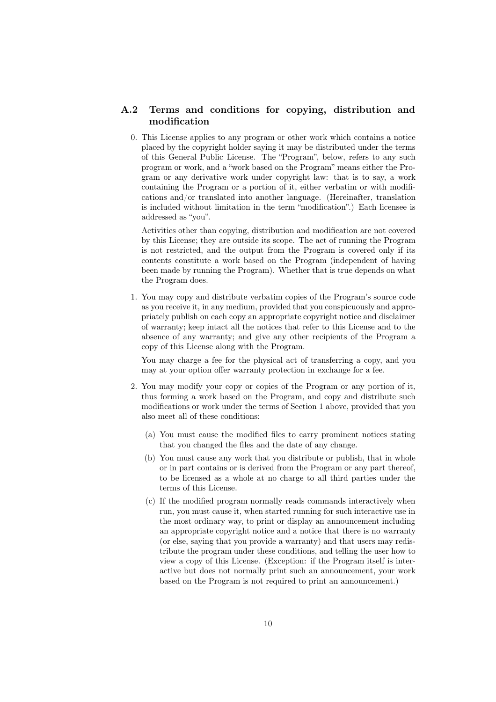## A.2 Terms and conditions for copying, distribution and modification

0. This License applies to any program or other work which contains a notice placed by the copyright holder saying it may be distributed under the terms of this General Public License. The "Program", below, refers to any such program or work, and a "work based on the Program" means either the Program or any derivative work under copyright law: that is to say, a work containing the Program or a portion of it, either verbatim or with modifications and/or translated into another language. (Hereinafter, translation is included without limitation in the term "modification".) Each licensee is addressed as "you".

Activities other than copying, distribution and modification are not covered by this License; they are outside its scope. The act of running the Program is not restricted, and the output from the Program is covered only if its contents constitute a work based on the Program (independent of having been made by running the Program). Whether that is true depends on what the Program does.

1. You may copy and distribute verbatim copies of the Program's source code as you receive it, in any medium, provided that you conspicuously and appropriately publish on each copy an appropriate copyright notice and disclaimer of warranty; keep intact all the notices that refer to this License and to the absence of any warranty; and give any other recipients of the Program a copy of this License along with the Program.

You may charge a fee for the physical act of transferring a copy, and you may at your option offer warranty protection in exchange for a fee.

- 2. You may modify your copy or copies of the Program or any portion of it, thus forming a work based on the Program, and copy and distribute such modifications or work under the terms of Section 1 above, provided that you also meet all of these conditions:
	- (a) You must cause the modified files to carry prominent notices stating that you changed the files and the date of any change.
	- (b) You must cause any work that you distribute or publish, that in whole or in part contains or is derived from the Program or any part thereof, to be licensed as a whole at no charge to all third parties under the terms of this License.
	- (c) If the modified program normally reads commands interactively when run, you must cause it, when started running for such interactive use in the most ordinary way, to print or display an announcement including an appropriate copyright notice and a notice that there is no warranty (or else, saying that you provide a warranty) and that users may redistribute the program under these conditions, and telling the user how to view a copy of this License. (Exception: if the Program itself is interactive but does not normally print such an announcement, your work based on the Program is not required to print an announcement.)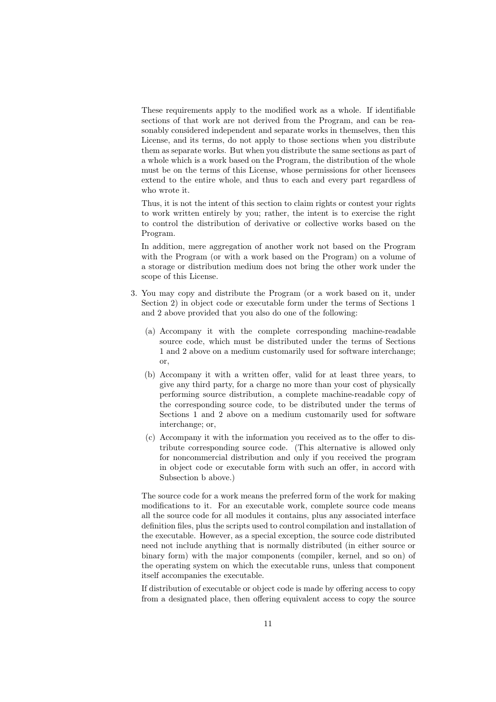These requirements apply to the modified work as a whole. If identifiable sections of that work are not derived from the Program, and can be reasonably considered independent and separate works in themselves, then this License, and its terms, do not apply to those sections when you distribute them as separate works. But when you distribute the same sections as part of a whole which is a work based on the Program, the distribution of the whole must be on the terms of this License, whose permissions for other licensees extend to the entire whole, and thus to each and every part regardless of who wrote it.

Thus, it is not the intent of this section to claim rights or contest your rights to work written entirely by you; rather, the intent is to exercise the right to control the distribution of derivative or collective works based on the Program.

In addition, mere aggregation of another work not based on the Program with the Program (or with a work based on the Program) on a volume of a storage or distribution medium does not bring the other work under the scope of this License.

- 3. You may copy and distribute the Program (or a work based on it, under Section 2) in object code or executable form under the terms of Sections 1 and 2 above provided that you also do one of the following:
	- (a) Accompany it with the complete corresponding machine-readable source code, which must be distributed under the terms of Sections 1 and 2 above on a medium customarily used for software interchange; or,
	- (b) Accompany it with a written offer, valid for at least three years, to give any third party, for a charge no more than your cost of physically performing source distribution, a complete machine-readable copy of the corresponding source code, to be distributed under the terms of Sections 1 and 2 above on a medium customarily used for software interchange; or,
	- (c) Accompany it with the information you received as to the offer to distribute corresponding source code. (This alternative is allowed only for noncommercial distribution and only if you received the program in object code or executable form with such an offer, in accord with Subsection b above.)

The source code for a work means the preferred form of the work for making modifications to it. For an executable work, complete source code means all the source code for all modules it contains, plus any associated interface definition files, plus the scripts used to control compilation and installation of the executable. However, as a special exception, the source code distributed need not include anything that is normally distributed (in either source or binary form) with the major components (compiler, kernel, and so on) of the operating system on which the executable runs, unless that component itself accompanies the executable.

If distribution of executable or object code is made by offering access to copy from a designated place, then offering equivalent access to copy the source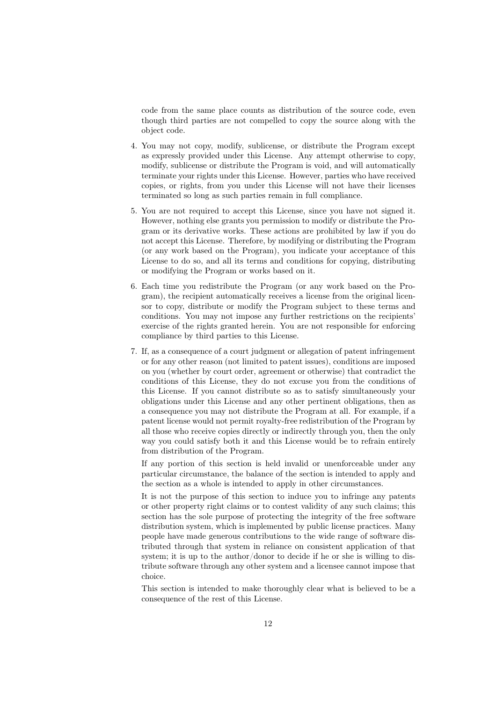code from the same place counts as distribution of the source code, even though third parties are not compelled to copy the source along with the object code.

- 4. You may not copy, modify, sublicense, or distribute the Program except as expressly provided under this License. Any attempt otherwise to copy, modify, sublicense or distribute the Program is void, and will automatically terminate your rights under this License. However, parties who have received copies, or rights, from you under this License will not have their licenses terminated so long as such parties remain in full compliance.
- 5. You are not required to accept this License, since you have not signed it. However, nothing else grants you permission to modify or distribute the Program or its derivative works. These actions are prohibited by law if you do not accept this License. Therefore, by modifying or distributing the Program (or any work based on the Program), you indicate your acceptance of this License to do so, and all its terms and conditions for copying, distributing or modifying the Program or works based on it.
- 6. Each time you redistribute the Program (or any work based on the Program), the recipient automatically receives a license from the original licensor to copy, distribute or modify the Program subject to these terms and conditions. You may not impose any further restrictions on the recipients' exercise of the rights granted herein. You are not responsible for enforcing compliance by third parties to this License.
- 7. If, as a consequence of a court judgment or allegation of patent infringement or for any other reason (not limited to patent issues), conditions are imposed on you (whether by court order, agreement or otherwise) that contradict the conditions of this License, they do not excuse you from the conditions of this License. If you cannot distribute so as to satisfy simultaneously your obligations under this License and any other pertinent obligations, then as a consequence you may not distribute the Program at all. For example, if a patent license would not permit royalty-free redistribution of the Program by all those who receive copies directly or indirectly through you, then the only way you could satisfy both it and this License would be to refrain entirely from distribution of the Program.

If any portion of this section is held invalid or unenforceable under any particular circumstance, the balance of the section is intended to apply and the section as a whole is intended to apply in other circumstances.

It is not the purpose of this section to induce you to infringe any patents or other property right claims or to contest validity of any such claims; this section has the sole purpose of protecting the integrity of the free software distribution system, which is implemented by public license practices. Many people have made generous contributions to the wide range of software distributed through that system in reliance on consistent application of that system; it is up to the author/donor to decide if he or she is willing to distribute software through any other system and a licensee cannot impose that choice.

This section is intended to make thoroughly clear what is believed to be a consequence of the rest of this License.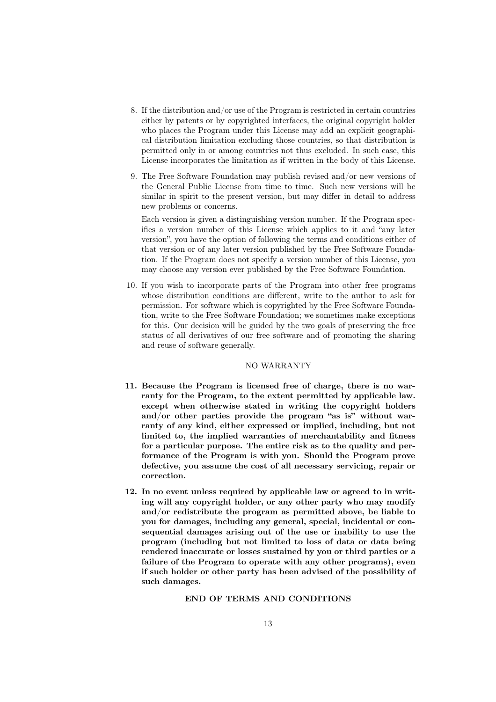- 8. If the distribution and/or use of the Program is restricted in certain countries either by patents or by copyrighted interfaces, the original copyright holder who places the Program under this License may add an explicit geographical distribution limitation excluding those countries, so that distribution is permitted only in or among countries not thus excluded. In such case, this License incorporates the limitation as if written in the body of this License.
- 9. The Free Software Foundation may publish revised and/or new versions of the General Public License from time to time. Such new versions will be similar in spirit to the present version, but may differ in detail to address new problems or concerns.

Each version is given a distinguishing version number. If the Program specifies a version number of this License which applies to it and "any later version", you have the option of following the terms and conditions either of that version or of any later version published by the Free Software Foundation. If the Program does not specify a version number of this License, you may choose any version ever published by the Free Software Foundation.

10. If you wish to incorporate parts of the Program into other free programs whose distribution conditions are different, write to the author to ask for permission. For software which is copyrighted by the Free Software Foundation, write to the Free Software Foundation; we sometimes make exceptions for this. Our decision will be guided by the two goals of preserving the free status of all derivatives of our free software and of promoting the sharing and reuse of software generally.

#### NO WARRANTY

- 11. Because the Program is licensed free of charge, there is no warranty for the Program, to the extent permitted by applicable law. except when otherwise stated in writing the copyright holders and/or other parties provide the program "as is" without warranty of any kind, either expressed or implied, including, but not limited to, the implied warranties of merchantability and fitness for a particular purpose. The entire risk as to the quality and performance of the Program is with you. Should the Program prove defective, you assume the cost of all necessary servicing, repair or correction.
- 12. In no event unless required by applicable law or agreed to in writing will any copyright holder, or any other party who may modify and/or redistribute the program as permitted above, be liable to you for damages, including any general, special, incidental or consequential damages arising out of the use or inability to use the program (including but not limited to loss of data or data being rendered inaccurate or losses sustained by you or third parties or a failure of the Program to operate with any other programs), even if such holder or other party has been advised of the possibility of such damages.

#### END OF TERMS AND CONDITIONS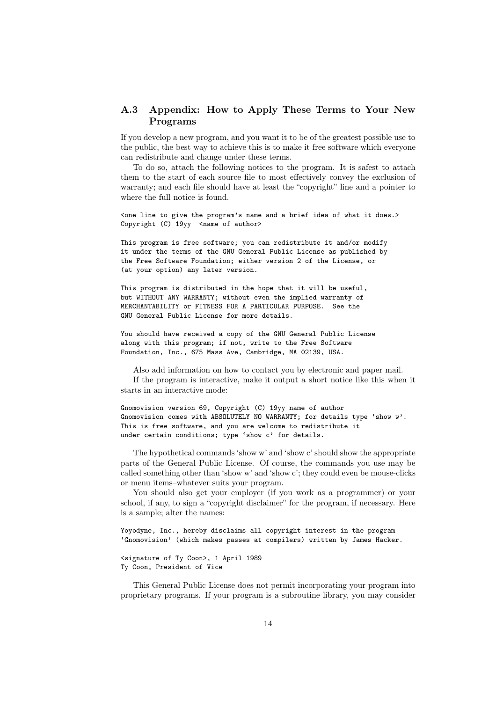## A.3 Appendix: How to Apply These Terms to Your New Programs

If you develop a new program, and you want it to be of the greatest possible use to the public, the best way to achieve this is to make it free software which everyone can redistribute and change under these terms.

To do so, attach the following notices to the program. It is safest to attach them to the start of each source file to most effectively convey the exclusion of warranty; and each file should have at least the "copyright" line and a pointer to where the full notice is found.

<one line to give the program's name and a brief idea of what it does.> Copyright (C) 19yy <name of author>

This program is free software; you can redistribute it and/or modify it under the terms of the GNU General Public License as published by the Free Software Foundation; either version 2 of the License, or (at your option) any later version.

This program is distributed in the hope that it will be useful, but WITHOUT ANY WARRANTY; without even the implied warranty of MERCHANTABILITY or FITNESS FOR A PARTICULAR PURPOSE. See the GNU General Public License for more details.

You should have received a copy of the GNU General Public License along with this program; if not, write to the Free Software Foundation, Inc., 675 Mass Ave, Cambridge, MA 02139, USA.

Also add information on how to contact you by electronic and paper mail. If the program is interactive, make it output a short notice like this when it starts in an interactive mode:

Gnomovision version 69, Copyright (C) 19yy name of author Gnomovision comes with ABSOLUTELY NO WARRANTY; for details type 'show w'. This is free software, and you are welcome to redistribute it under certain conditions; type 'show c' for details.

The hypothetical commands 'show w' and 'show c' should show the appropriate parts of the General Public License. Of course, the commands you use may be called something other than 'show w' and 'show c'; they could even be mouse-clicks or menu items–whatever suits your program.

You should also get your employer (if you work as a programmer) or your school, if any, to sign a "copyright disclaimer" for the program, if necessary. Here is a sample; alter the names:

Yoyodyne, Inc., hereby disclaims all copyright interest in the program 'Gnomovision' (which makes passes at compilers) written by James Hacker.

<signature of Ty Coon>, 1 April 1989 Ty Coon, President of Vice

This General Public License does not permit incorporating your program into proprietary programs. If your program is a subroutine library, you may consider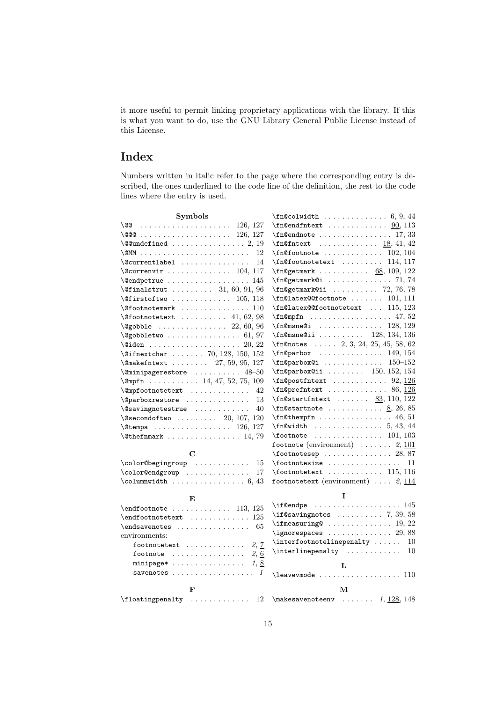it more useful to permit linking proprietary applications with the library. If this is what you want to do, use the GNU Library General Public License instead of this License.

## Index

Numbers written in italic refer to the page where the corresponding entry is described, the ones underlined to the code line of the definition, the rest to the code lines where the entry is used.

| Symbols                                                                        |                                                                                                                                                                                                                                                                                                                                                                                               |
|--------------------------------------------------------------------------------|-----------------------------------------------------------------------------------------------------------------------------------------------------------------------------------------------------------------------------------------------------------------------------------------------------------------------------------------------------------------------------------------------|
|                                                                                |                                                                                                                                                                                                                                                                                                                                                                                               |
| \@@@\ 126, 127                                                                 |                                                                                                                                                                                                                                                                                                                                                                                               |
| $\sqrt{$ Qundefined  2, 19                                                     | $\mathcal{I}$ 18, 41, 42                                                                                                                                                                                                                                                                                                                                                                      |
| 12                                                                             | $\mathcal{I}$ n@footnote  102, 104                                                                                                                                                                                                                                                                                                                                                            |
| $\&$ currentlabel<br>14                                                        | $\{fn@footnotetext \dots 114, 117\}$                                                                                                                                                                                                                                                                                                                                                          |
| $\&$ Currenvir  104, 117                                                       | $\infty$ 9.109, 122                                                                                                                                                                                                                                                                                                                                                                           |
| $\{\texttt{Qendpetrue} \dots \dots \dots \dots \dots \ 145$                    | \fn@getmark@i  71,74                                                                                                                                                                                                                                                                                                                                                                          |
| $\text{91}, 96$                                                                | $\infty$ 72, 76, 78                                                                                                                                                                                                                                                                                                                                                                           |
| $\forall$ firstoftwo  105, 118                                                 | $\fn@latex@footnote   101, 111$                                                                                                                                                                                                                                                                                                                                                               |
| $\setminus$ Cfootnotemark  110                                                 | \fn@latex@@footnotetext  115, 123                                                                                                                                                                                                                                                                                                                                                             |
| $\setminus$ Cfootnotetext  41, 62, 98                                          | $\mathbb{m}$ mpfn  47, 52                                                                                                                                                                                                                                                                                                                                                                     |
| $\verb+\@gobble \dots \dots 22, 60, 96$                                        | $\{\text{fn@msne@i} \dots \dots \dots \dots \ 128, 129\}$                                                                                                                                                                                                                                                                                                                                     |
| $\qquad$ Qgobbletwo  61,97                                                     | $\{\text{fn@msne@ii} \dots \dots \dots \ 128, 134, 136\}$                                                                                                                                                                                                                                                                                                                                     |
| $\verb+\@iden + \ldots + \ldots + \ldots + \ldots + 20, 22$                    | $\n1.1$ $n$ Onotes  2, 3, 24, 25, 45, 58, 62                                                                                                                                                                                                                                                                                                                                                  |
| $\left\{ \text{Different} \dots \right. \dots \right. \quad 70, 128, 150, 152$ | \fn@parbox<br>149, 154                                                                                                                                                                                                                                                                                                                                                                        |
| $\{\mathsf{Omakefntext} \dots \dots \ 27, 59, 95, 127\}$                       | \fn@parbox@i<br>$150 - 152$                                                                                                                                                                                                                                                                                                                                                                   |
| $\label{lem:main} $$\mathbf{2} \approx \ldots \ldots \quad 48-50$              | $\infty$ (fn@parbox@ii  150, 152, 154                                                                                                                                                                                                                                                                                                                                                         |
| $\emptyset$ mpfn 14, 47, 52, 75, 109                                           | $\n126$                                                                                                                                                                                                                                                                                                                                                                                       |
| $\emptyset$ mpfootnotetext<br>42                                               | $\infty$ of $126$                                                                                                                                                                                                                                                                                                                                                                             |
| \@parboxrestore<br>13                                                          | $\n10, 122$                                                                                                                                                                                                                                                                                                                                                                                   |
| $\sqrt{Q}$ savingnotestrue<br>40                                               | $\n1.8, 26, 85$                                                                                                                                                                                                                                                                                                                                                                               |
| $\text{Qsecondoftwo} \dots \dots \dots \quad 20, 107, 120$                     |                                                                                                                                                                                                                                                                                                                                                                                               |
| $\text{Ctempa}$ 126, 127                                                       |                                                                                                                                                                                                                                                                                                                                                                                               |
| $\text{Other}$ 14, 79                                                          | $\setminus$ footnote  101, 103                                                                                                                                                                                                                                                                                                                                                                |
|                                                                                | footnote (environment) $\ldots \ldots$ 2, 101                                                                                                                                                                                                                                                                                                                                                 |
| $\mathbf C$                                                                    | $\setminus$ footnotesep  28,87                                                                                                                                                                                                                                                                                                                                                                |
| \color@begingroup<br>15                                                        | $\otimes$ is $\setminus$ footnotesize<br>11                                                                                                                                                                                                                                                                                                                                                   |
| \color@endgroup<br>17                                                          | $\footnotesize\backslash$ footnotetext  115, 116                                                                                                                                                                                                                                                                                                                                              |
|                                                                                | footnotetext (environment) $\ldots$ 2, 114                                                                                                                                                                                                                                                                                                                                                    |
| E                                                                              | I                                                                                                                                                                                                                                                                                                                                                                                             |
| $\end{footnote}$ 113, 125                                                      | $\iota$ : $\iota$ 145                                                                                                                                                                                                                                                                                                                                                                         |
| $\end$ footnotetext  125                                                       | $\iint$ Csaving notes  7, 39, 58                                                                                                                                                                                                                                                                                                                                                              |
| $\endsawenotes \ldots \ldots$<br>65                                            |                                                                                                                                                                                                                                                                                                                                                                                               |
| environments:                                                                  | $\iint$ gnorespaces  29,88                                                                                                                                                                                                                                                                                                                                                                    |
| 2, 7<br>footnotetext                                                           | $\int$ interfootnotelinepenalty<br>10                                                                                                                                                                                                                                                                                                                                                         |
| footnote $\ldots \ldots \ldots \ldots \ldots$ 2, 6                             | $\int$ interlinepenalty<br>10                                                                                                                                                                                                                                                                                                                                                                 |
| minipage* $1, 8$                                                               |                                                                                                                                                                                                                                                                                                                                                                                               |
| savenotes $\ldots \ldots \ldots \ldots \ldots 1$                               | L                                                                                                                                                                                                                                                                                                                                                                                             |
|                                                                                | $\lambda$ . $\lambda$ . $\lambda$ . $\lambda$ . $\lambda$ . $\lambda$ . $\lambda$ . $\lambda$ . $\lambda$ . $\lambda$ . $\lambda$ . $\lambda$ . $\lambda$ . $\lambda$ . $\lambda$ . $\lambda$ . $\lambda$ . $\lambda$ . $\lambda$ . $\lambda$ . $\lambda$ . $\lambda$ . $\lambda$ . $\lambda$ . $\lambda$ . $\lambda$ . $\lambda$ . $\lambda$ . $\lambda$ . $\lambda$ . $\lambda$ . $\lambda$ |
| F                                                                              | м                                                                                                                                                                                                                                                                                                                                                                                             |
| $\left\{ \Delta x \right\}$<br>12                                              | $\mathcal{S}$ 148                                                                                                                                                                                                                                                                                                                                                                             |